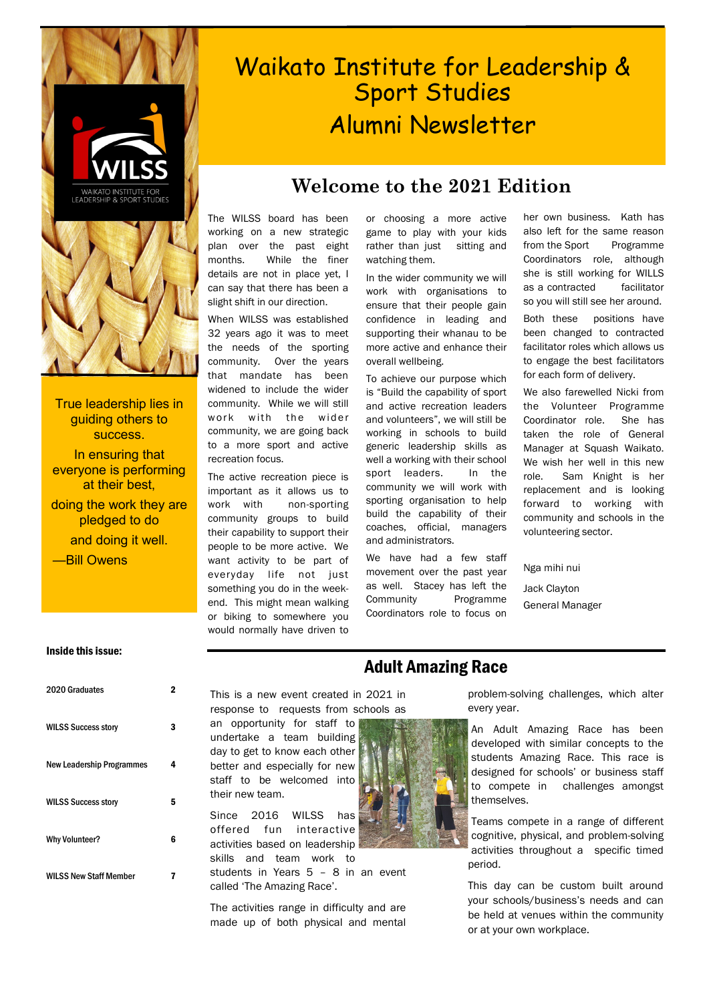

True leadership lies in guiding others to success. In ensuring that everyone is performing at their best, doing the work they are pledged to do and doing it well. —Bill Owens

# Waikato Institute for Leadership & Sport Studies Alumni Newsletter

## **Welcome to the 2021 Edition**

The WILSS board has been working on a new strategic plan over the past eight months. While the finer details are not in place yet, I can say that there has been a slight shift in our direction.

When WILSS was established 32 years ago it was to meet the needs of the sporting community. Over the years that mandate has been widened to include the wider community. While we will still work with the wider community, we are going back to a more sport and active recreation focus.

The active recreation piece is important as it allows us to work with non-sporting community groups to build their capability to support their people to be more active. We want activity to be part of everyday life not just something you do in the weekend. This might mean walking or biking to somewhere you would normally have driven to or choosing a more active game to play with your kids rather than just sitting and watching them.

In the wider community we will work with organisations to ensure that their people gain confidence in leading and supporting their whanau to be more active and enhance their overall wellbeing.

To achieve our purpose which is "Build the capability of sport and active recreation leaders and volunteers", we will still be working in schools to build generic leadership skills as well a working with their school sport leaders. In the community we will work with sporting organisation to help build the capability of their coaches, official, managers and administrators.

We have had a few staff movement over the past year as well. Stacey has left the Community Programme Coordinators role to focus on

her own business. Kath has also left for the same reason from the Sport Programme Coordinators role, although she is still working for WILLS as a contracted facilitator so you will still see her around.

Both these positions have been changed to contracted facilitator roles which allows us to engage the best facilitators for each form of delivery.

We also farewelled Nicki from the Volunteer Programme Coordinator role. She has taken the role of General Manager at Squash Waikato. We wish her well in this new role. Sam Knight is her replacement and is looking forward to working with community and schools in the volunteering sector.

Nga mihi nui

Jack Clayton General Manager

#### Inside this issue:

| 2020 Graduates                   | 2 |
|----------------------------------|---|
| <b>WILSS Success story</b>       | 3 |
| <b>New Leadership Programmes</b> | 4 |
| <b>WILSS Success story</b>       | 5 |
| <b>Why Volunteer?</b>            | 6 |
| <b>WILSS New Staff Member</b>    | 7 |

| This is a new event created in 2021 in |  |
|----------------------------------------|--|
| response to requests from schools as   |  |

an opportunity for staff to undertake a team building day to get to know each other better and especially for new staff to be welcomed into their new team.

Since 2016 WILSS has offered fun interactive activities based on leadership skills and team work to

students in Years 5 – 8 in an event called 'The Amazing Race'.

The activities range in difficulty and are made up of both physical and mental

## Adult Amazing Race

problem-solving challenges, which alter every year.

An Adult Amazing Race has been developed with similar concepts to the students Amazing Race. This race is designed for schools' or business staff to compete in challenges amongst themselves.

Teams compete in a range of different cognitive, physical, and problem-solving activities throughout a specific timed period.

This day can be custom built around your schools/business's needs and can be held at venues within the community or at your own workplace.

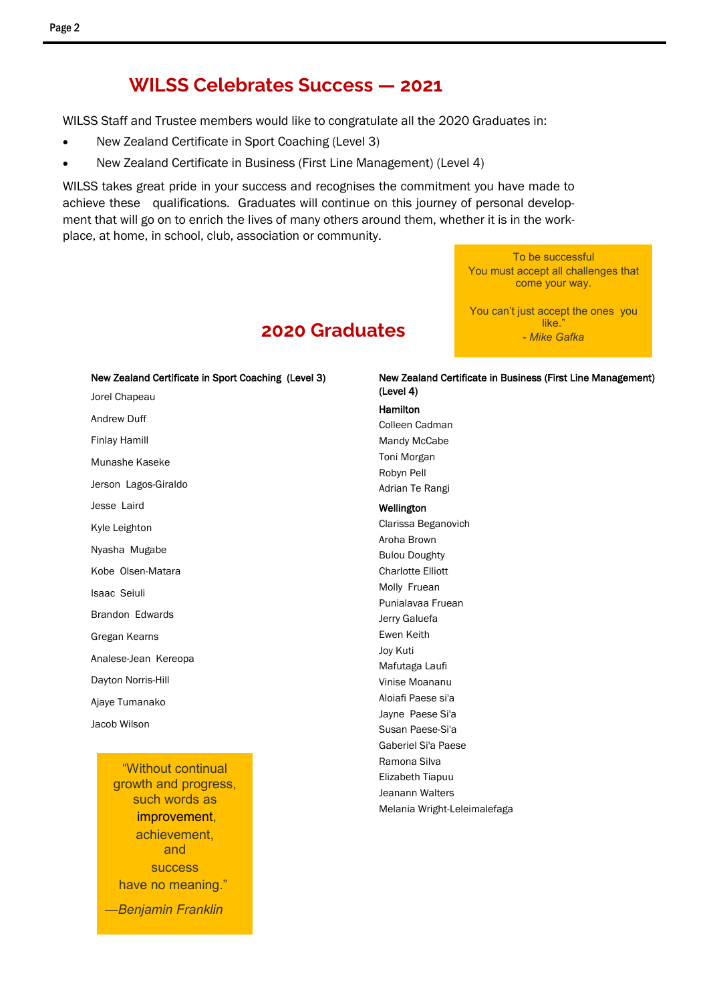## **WILSS Celebrates Success — 2021**

WILSS Staff and Trustee members would like to congratulate all the 2020 Graduates in:

- New Zealand Certificate in Sport Coaching (Level 3)
- New Zealand Certificate in Business (First Line Management) (Level 4)

WILSS takes great pride in your success and recognises the commitment you have made to achieve these qualifications. Graduates will continue on this journey of personal development that will go on to enrich the lives of many others around them, whether it is in the workplace, at home, in school, club, association or community.

> To be successful You must accept all challenges that come your way.

> You can't just accept the ones you like. - *Mike Gafka*

## **2020 Graduates**

New Zealand Certificate in Sport Coaching (Level 3) Jorel Chapeau Andrew Duff Finlay Hamill Munashe Kaseke Jerson Lagos-Giraldo Jesse Laird Kyle Leighton Nyasha Mugabe Kobe Olsen-Matara Isaac Seiuli Brandon Edwards Gregan Kearns Analese-Jean Kereopa Dayton Norris-Hill Ajaye Tumanako Jacob Wilson

"Without continual growth and progress, such words as [improvement,](http://www.success.com/blog/3-ways-self-improvement-can-change-your-life)  achievement, and success have no meaning." *—Benjamin Franklin*

#### New Zealand Certificate in Business (First Line Management) (Level 4)

#### Hamilton

Colleen Cadman Mandy McCabe Toni Morgan Robyn Pell Adrian Te Rangi

#### Wellington

Clarissa Beganovich Aroha Brown Bulou Doughty Charlotte Elliott Molly Fruean Punialavaa Fruean Jerry Galuefa Ewen Keith Joy Kuti Mafutaga Laufi Vinise Moananu Aloiafi Paese si'a Jayne Paese Si'a Susan Paese-Si'a Gaberiel Si'a Paese Ramona Silva Elizabeth Tiapuu Jeanann Walters Melania Wright-Leleimalefaga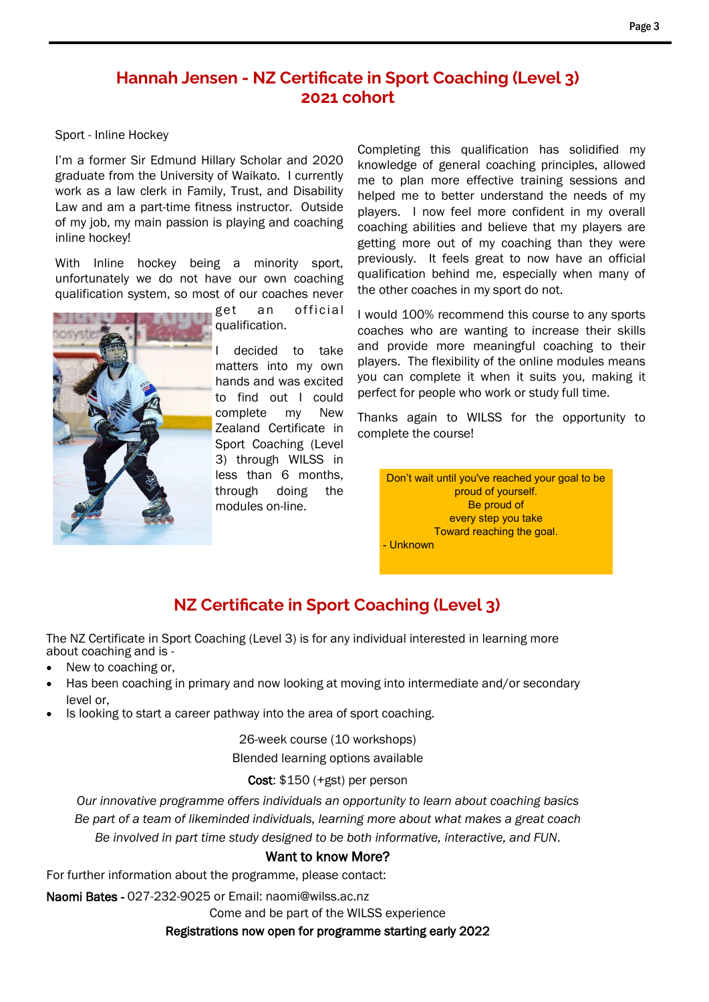#### Page 3

### **Hannah Jensen - NZ Certificate in Sport Coaching (Level 3) 2021 cohort**

#### Sport - Inline Hockey

I'm a former Sir Edmund Hillary Scholar and 2020 graduate from the University of Waikato. I currently work as a law clerk in Family, Trust, and Disability Law and am a part-time fitness instructor. Outside of my job, my main passion is playing and coaching inline hockey!

With Inline hockey being a minority sport, unfortunately we do not have our own coaching qualification system, so most of our coaches never



get an official qualification.

decided to take matters into my own hands and was excited to find out I could complete my New Zealand Certificate in Sport Coaching (Level 3) through WILSS in less than 6 months, through doing the modules on-line.

Completing this qualification has solidified my knowledge of general coaching principles, allowed me to plan more effective training sessions and helped me to better understand the needs of my players. I now feel more confident in my overall coaching abilities and believe that my players are getting more out of my coaching than they were previously. It feels great to now have an official qualification behind me, especially when many of the other coaches in my sport do not.

I would 100% recommend this course to any sports coaches who are wanting to increase their skills and provide more meaningful coaching to their players. The flexibility of the online modules means you can complete it when it suits you, making it perfect for people who work or study full time.

Thanks again to WILSS for the opportunity to complete the course!

Don't wait until you've reached your goal to be proud of yourself. Be proud of every step you take Toward reaching the goal. - Unknown

## **NZ Certificate in Sport Coaching (Level 3)**

The NZ Certificate in Sport Coaching (Level 3) is for any individual interested in learning more about coaching and is -

- New to coaching or,
- Has been coaching in primary and now looking at moving into intermediate and/or secondary level or,
- Is looking to start a career pathway into the area of sport coaching.

26-week course (10 workshops) Blended learning options available

### Cost: \$150 (+gst) per person

*Our innovative programme offers individuals an opportunity to learn about coaching basics Be part of a team of likeminded individuals, learning more about what makes a great coach Be involved in part time study designed to be both informative, interactive, and FUN*.

### Want to know More?

For further information about the programme, please contact:

Naomi Bates - 027-232-9025 or Email: naomi@wilss.ac.nz

Come and be part of the WILSS experience

Registrations now open for programme starting early 2022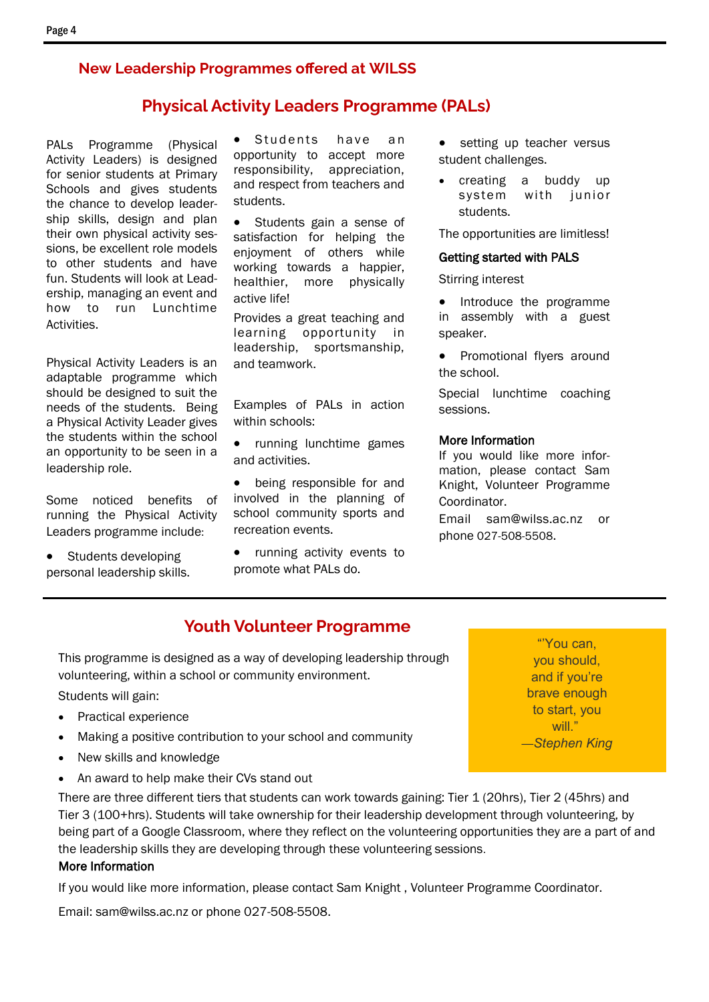### **New Leadership Programmes offered at WILSS**

### **Physical Activity Leaders Programme (PALs)**

PALs Programme (Physical Activity Leaders) is designed for senior students at Primary Schools and gives students the chance to develop leadership skills, design and plan their own physical activity sessions, be excellent role models to other students and have fun. Students will look at Leadership, managing an event and how to run Lunchtime Activities.

Physical Activity Leaders is an adaptable programme which should be designed to suit the needs of the students. Being a Physical Activity Leader gives the students within the school an opportunity to be seen in a leadership role.

Some noticed benefits of running the Physical Activity Leaders programme include:

Students developing personal leadership skills.

Students have an opportunity to accept more responsibility, appreciation, and respect from teachers and students.

• Students gain a sense of satisfaction for helping the enjoyment of others while working towards a happier, healthier, more physically active life!

Provides a great teaching and learning opportunity in leadership, sportsmanship, and teamwork.

Examples of PALs in action within schools:

• running lunchtime games and activities.

being responsible for and involved in the planning of school community sports and recreation events.

running activity events to promote what PALs do.

- setting up teacher versus student challenges.
- creating a buddy up system with junior students.

The opportunities are limitless!

#### Getting started with PALS

Stirring interest

• Introduce the programme in assembly with a guest speaker.

• Promotional flyers around the school.

Special lunchtime coaching sessions.

#### More Information

If you would like more information, please contact Sam Knight, Volunteer Programme Coordinator.

Email sam@wilss.ac.nz or phone 027-508-5508.

### **Youth Volunteer Programme**

This programme is designed as a way of developing leadership through volunteering, within a school or community environment.

Students will gain:

- Practical experience
- Making a positive contribution to your school and community
- New skills and knowledge
- An award to help make their CVs stand out

There are three different tiers that students can work towards gaining: Tier 1 (20hrs), Tier 2 (45hrs) and Tier 3 (100+hrs). Students will take ownership for their leadership development through volunteering, by being part of a Google Classroom, where they reflect on the volunteering opportunities they are a part of and the leadership skills they are developing through these volunteering sessions.

### More Information

If you would like more information, please contact Sam Knight , Volunteer Programme Coordinator.

Email: sam@wilss.ac.nz or phone 027-508-5508.

"'You can, you should, and if you're brave enough to start, you will." *—Stephen King*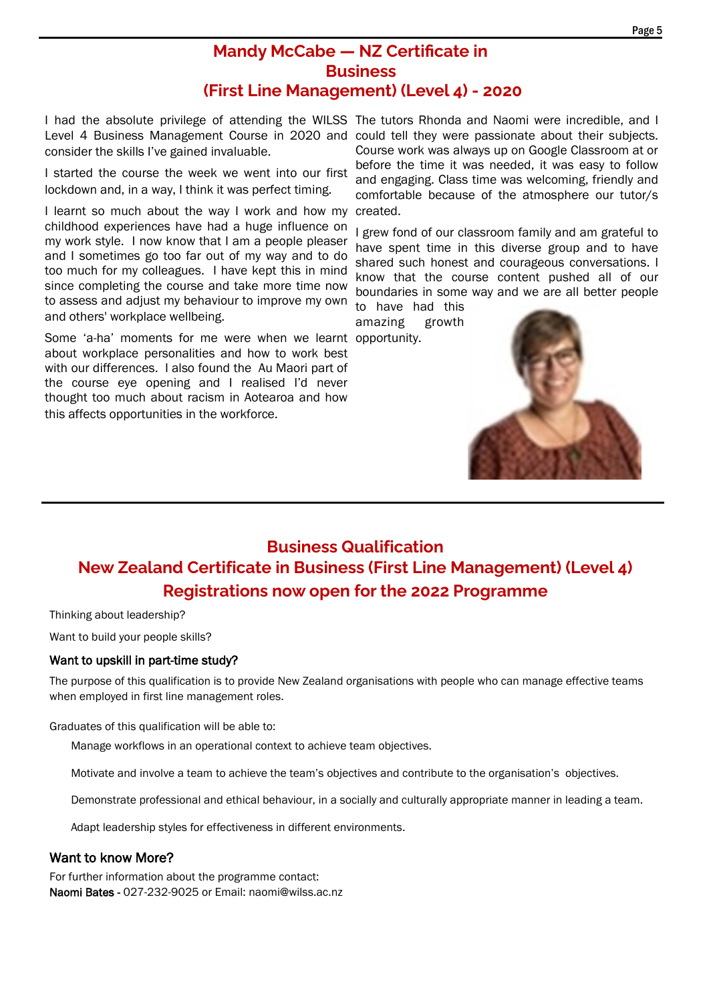### **Mandy McCabe — NZ Certificate in Business (First Line Management) (Level 4) - 2020**

I had the absolute privilege of attending the WILSS The tutors Rhonda and Naomi were incredible, and I consider the skills I've gained invaluable.

I started the course the week we went into our first lockdown and, in a way, I think it was perfect timing.

I learnt so much about the way I work and how my childhood experiences have had a huge influence on my work style. I now know that I am a people pleaser and I sometimes go too far out of my way and to do too much for my colleagues. I have kept this in mind since completing the course and take more time now to assess and adjust my behaviour to improve my own and others' workplace wellbeing.

Some 'a-ha' moments for me were when we learnt opportunity. about workplace personalities and how to work best with our differences. I also found the Au Maori part of the course eye opening and I realised I'd never thought too much about racism in Aotearoa and how this affects opportunities in the workforce.

Level 4 Business Management Course in 2020 and could tell they were passionate about their subjects. Course work was always up on Google Classroom at or before the time it was needed, it was easy to follow and engaging. Class time was welcoming, friendly and comfortable because of the atmosphere our tutor/s created.

> I grew fond of our classroom family and am grateful to have spent time in this diverse group and to have shared such honest and courageous conversations. I know that the course content pushed all of our boundaries in some way and we are all better people

to have had this<br>amazing growth amazing



## **Business Qualification New Zealand Certificate in Business (First Line Management) (Level 4) Registrations now open for the 2022 Programme**

Thinking about leadership?

Want to build your people skills?

#### Want to upskill in part-time study?

The purpose of this qualification is to provide New Zealand organisations with people who can manage effective teams when employed in first line management roles.

Graduates of this qualification will be able to:

Manage workflows in an operational context to achieve team objectives.

Motivate and involve a team to achieve the team's objectives and contribute to the organisation's objectives.

Demonstrate professional and ethical behaviour, in a socially and culturally appropriate manner in leading a team.

Adapt leadership styles for effectiveness in different environments.

### Want to know More?

For further information about the programme contact: Naomi Bates - 027-232-9025 or Email: naomi@wilss.ac.nz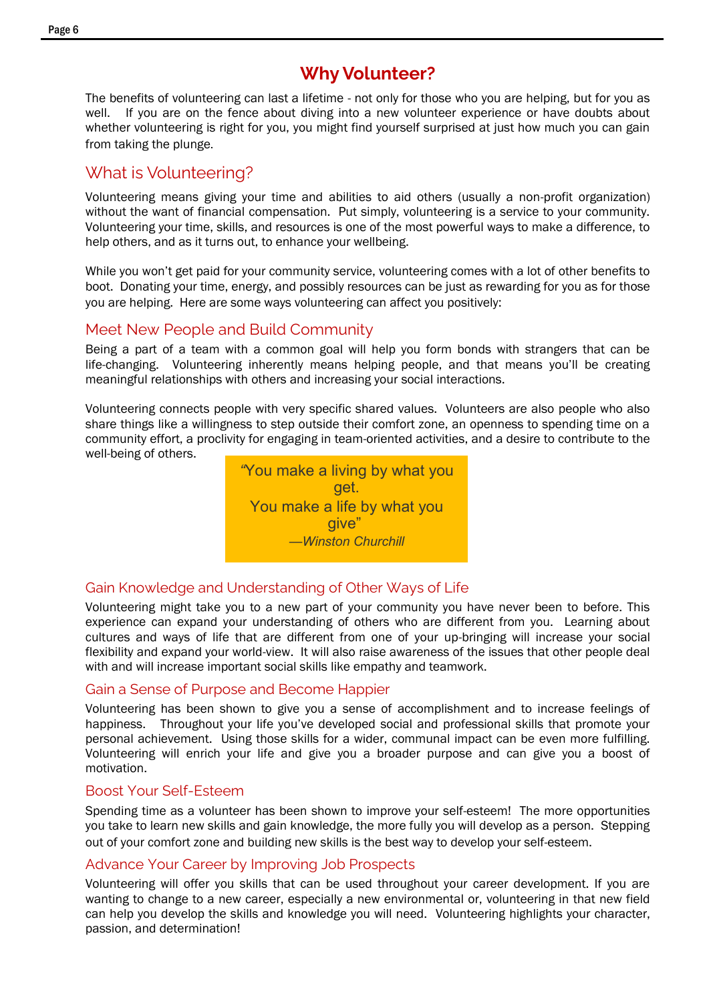## **Why Volunteer?**

The benefits of volunteering can last a lifetime - not only for those who you are helping, but for you as well. If you are on the fence about diving into a new volunteer experience or have doubts about whether volunteering is right for you, you might find yourself surprised at just how much you can gain from taking the plunge.

### What is Volunteering?

Volunteering means giving your time and abilities to aid others (usually a non-profit organization) without the want of financial compensation. Put simply, volunteering is a service to your community. Volunteering your time, skills, and resources is one of the most powerful ways to make a difference, to help others, and as it turns out, to enhance your wellbeing.

While you won't get paid for your community service, volunteering comes with a lot of other benefits to boot. Donating your time, energy, and possibly resources can be just as rewarding for you as for those you are helping. Here are some ways volunteering can affect you positively:

### Meet New People and Build Community

Being a part of a team with a common goal will help you form bonds with strangers that can be life-changing. Volunteering inherently means helping people, and that means you'll be creating meaningful relationships with others and increasing your social interactions.

Volunteering connects people with very specific shared values. Volunteers are also people who also share things like a willingness to step outside their comfort zone, an openness to spending time on a community effort, a proclivity for engaging in team-oriented activities, and a desire to contribute to the well-being of others.



### Gain Knowledge and Understanding of Other Ways of Life

Volunteering might take you to a new part of your community you have never been to before. This experience can expand your understanding of others who are different from you. Learning about cultures and ways of life that are different from one of your up-bringing will increase your social flexibility and expand your world-view. It will also raise awareness of the issues that other people deal with and will increase important social skills like empathy and teamwork.

### Gain a Sense of Purpose and Become Happier

Volunteering has been shown to give you a sense of accomplishment and to increase feelings of happiness. Throughout your life you've developed social and professional skills that promote your personal achievement. Using those skills for a wider, communal impact can be even more fulfilling. Volunteering will enrich your life and give you a broader purpose and can give you a boost of motivation.

### Boost Your Self-Esteem

Spending time as a volunteer has been shown to improve your self-esteem! The more opportunities you take to learn new skills and gain knowledge, the more fully you will develop as a person. Stepping out of your comfort zone and building new skills is the best way to develop your self-esteem.

### Advance Your Career by Improving Job Prospects

Volunteering will offer you skills that can be used throughout your career development. If you are wanting to change to a new career, especially a new environmental or, volunteering in that new field can help you develop the skills and knowledge you will need. Volunteering highlights your character, passion, and determination!